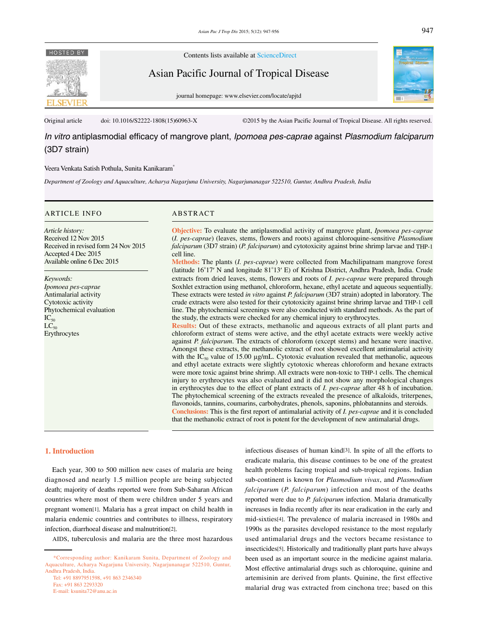

Contents lists available at ScienceDirect

Asian Pacific Journal of Tropical Disease

journal homepage: www.elsevier.com/locate/apjtd



Original article doi: 10.1016/S2222-1808(15)60963-X ©2015 by the Asian Pacific Journal of Tropical Disease. All rights reserved.

*In vitro* antiplasmodial efficacy of mangrove plant, *Ipomoea pes-caprae* against *Plasmodium falciparum* (3D7 strain)

#### Veera Venkata Satish Pothula, Sunita Kanikaram\*

*Department of Zoology and Aquaculture, Acharya Nagarjuna University, Nagarjunanagar 522510, Guntur, Andhra Pradesh, India* 

# ARTICLE INFO ABSTRACT

*Article history:* Received 12 Nov 2015 Received in revised form 24 Nov 2015 Accepted 4 Dec 2015 Available online 6 Dec 2015

*Keywords: Ipomoea pes-caprae* Antimalarial activity Cytotoxic activity Phytochemical evaluation  $IC_{50}$  $LC_{50}$ Erythrocytes

**Objective:** To evaluate the antiplasmodial activity of mangrove plant, *Ipomoea pes-caprae*  (*I. pes-caprae*) (leaves, stems, flowers and roots) against chloroquine-sensitive *Plasmodium falciparum* (3D7 strain) (*P. falciparum*) and cytotoxicity against brine shrimp larvae and THP-1 cell line.

**Methods:** The plants (*I. pes-caprae*) were collected from Machilipatnam mangrove forest (latitude 16°17′ N and longitude 81°13′ E) of Krishna District, Andhra Pradesh, India. Crude extracts from dried leaves, stems, flowers and roots of *I. pes-caprae* were prepared through Soxhlet extraction using methanol, chloroform, hexane, ethyl acetate and aqueous sequentially. These extracts were tested *in vitro* against *P. falciparum* (3D7 strain) adopted in laboratory. The crude extracts were also tested for their cytotoxicity against brine shrimp larvae and THP-1 cell line. The phytochemical screenings were also conducted with standard methods. As the part of the study, the extracts were checked for any chemical injury to erythrocytes.

**Results:** Out of these extracts, methanolic and aqueous extracts of all plant parts and chloroform extract of stems were active, and the ethyl acetate extracts were weekly active against *P. falciparum*. The extracts of chloroform (except stems) and hexane were inactive. Amongst these extracts, the methanolic extract of root showed excellent antimalarial activity with the  $IC_{50}$  value of 15.00  $\mu$ g/mL. Cytotoxic evaluation revealed that methanolic, aqueous and ethyl acetate extracts were slightly cytotoxic whereas chloroform and hexane extracts were more toxic against brine shrimp. All extracts were non-toxic to THP-1 cells. The chemical injury to erythrocytes was also evaluated and it did not show any morphological changes in erythrocytes due to the effect of plant extracts of *I. pes-caprae* after 48 h of incubation. The phytochemical screening of the extracts revealed the presence of alkaloids, triterpenes, flavonoids, tannins, coumarins, carbohydrates, phenols, saponins, phlobatannins and steroids. **Conclusions:** This is the first report of antimalarial activity of *I. pes-caprae* and it is concluded that the methanolic extract of root is potent for the development of new antimalarial drugs.

#### **1. Introduction**

 Each year, 300 to 500 million new cases of malaria are being diagnosed and nearly 1.5 million people are being subjected death; majority of deaths reported were from Sub-Saharan African countries where most of them were children under 5 years and pregnant women[1]. Malaria has a great impact on child health in malaria endemic countries and contributes to illness, respiratory infection, diarrhoeal disease and malnutrition[2].

AIDS, tuberculosis and malaria are the three most hazardous

eradicate malaria, this disease continues to be one of the greatest health problems facing tropical and sub-tropical regions. Indian sub-continent is known for *Plasmodium vivax*, and *Plasmodium falciparum* (*P. falciparum*) infection and most of the deaths reported were due to *P. falciparum* infection. Malaria dramatically increases in India recently after its near eradication in the early and mid-sixties[4]. The prevalence of malaria increased in 1980s and 1990s as the parasites developed resistance to the most regularly used antimalarial drugs and the vectors became resistance to insecticides[5]. Historically and traditionally plant parts have always been used as an important source in the medicine against malaria. Most effective antimalarial drugs such as chloroquine, quinine and artemisinin are derived from plants. Quinine, the first effective malarial drug was extracted from cinchona tree; based on this

infectious diseases of human kind[3]. In spite of all the efforts to

 <sup>\*</sup>Corresponding author: Kanikaram Sunita, Department of Zoology and Aquaculture, Acharya Nagarjuna University, Nagarjunanagar 522510, Guntur, Andhra Pradesh, India.

Tel: +91 8897951598, +91 863 2346340 Fax: +91 863 2293320 E-mail: ksunita72@anu.ac.in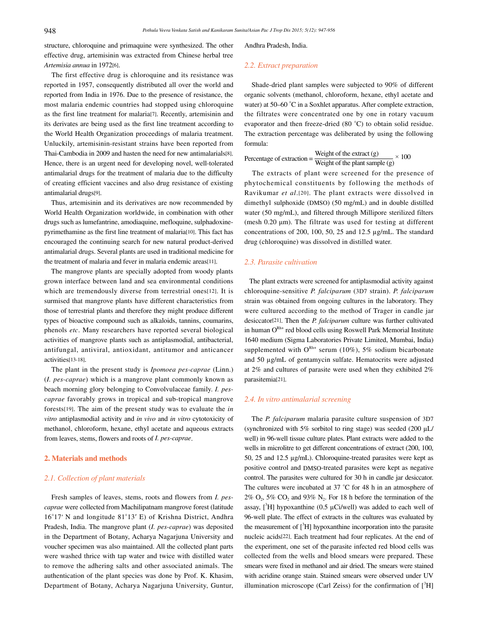structure, chloroquine and primaquine were synthesized. The other effective drug, artemisinin was extracted from Chinese herbal tree *Artemisia annua* in 1972[6].

 The first effective drug is chloroquine and its resistance was reported in 1957, consequently distributed all over the world and reported from India in 1976. Due to the presence of resistance, the most malaria endemic countries had stopped using chloroquine as the first line treatment for malaria[7]. Recently, artemisinin and its derivates are being used as the first line treatment according to the World Health Organization proceedings of malaria treatment. Unluckily, artemisinin-resistant strains have been reported from Thai-Cambodia in 2009 and hasten the need for new antimalarials[8]. Hence, there is an urgent need for developing novel, well-tolerated antimalarial drugs for the treatment of malaria due to the difficulty of creating efficient vaccines and also drug resistance of existing antimalarial drugs[9].

 Thus, artemisinin and its derivatives are now recommended by World Health Organization worldwide, in combination with other drugs such as lumefantrine, amodiaquine, mefloquine, sulphadoxinepyrimethamine as the first line treatment of malaria[10]. This fact has encouraged the continuing search for new natural product-derived antimalarial drugs. Several plants are used in traditional medicine for the treatment of malaria and fever in malaria endemic areas[11].

 The mangrove plants are specially adopted from woody plants grown interface between land and sea environmental conditions which are tremendously diverse from terrestrial ones[12]. It is surmised that mangrove plants have different characteristics from those of terrestrial plants and therefore they might produce different types of bioactive compound such as alkaloids, tannins, coumarins, phenols *etc*. Many researchers have reported several biological activities of mangrove plants such as antiplasmodial, antibacterial, antifungal, antiviral, antioxidant, antitumor and anticancer activities[13-18].

 The plant in the present study is *Ipomoea pes-caprae* (Linn.) (*I. pes-caprae*) which is a mangrove plant commonly known as beach morning glory belonging to Convolvulaceae family. *I. pescaprae* favorably grows in tropical and sub-tropical mangrove forests[19]. The aim of the present study was to evaluate the *in vitro* antiplasmodial activity and *in vivo* and *in vitro* cytotoxicity of methanol, chloroform, hexane, ethyl acetate and aqueous extracts from leaves, stems, flowers and roots of *I. pes-caprae*.

## **2. Materials and methods**

#### *2.1. Collection of plant materials*

 Fresh samples of leaves, stems, roots and flowers from *I. pescaprae* were collected from Machilipatnam mangrove forest (latitude 16°17′ N and longitude 81°13′ E) of Krishna District, Andhra Pradesh, India. The mangrove plant (*I. pes-caprae*) was deposited in the Department of Botany, Acharya Nagarjuna University and voucher specimen was also maintained. All the collected plant parts were washed thrice with tap water and twice with distilled water to remove the adhering salts and other associated animals. The authentication of the plant species was done by Prof. K. Khasim, Department of Botany, Acharya Nagarjuna University, Guntur, Andhra Pradesh, India.

#### *2.2. Extract preparation*

 Shade-dried plant samples were subjected to 90% of different organic solvents (methanol, chloroform, hexane, ethyl acetate and water) at 50–60 °C in a Soxhlet apparatus. After complete extraction, the filtrates were concentrated one by one in rotary vacuum evaporator and then freeze-dried (80 °C) to obtain solid residue. The extraction percentage was deliberated by using the following formula:

Percentage of extraction =  $\frac{\text{Weight of the extract (g)}}{\text{Weight of the plant sample (g)}} \times 100$ 

 The extracts of plant were screened for the presence of phytochemical constituents by following the methods of Ravikumar *et al*.[20]. The plant extracts were dissolved in dimethyl sulphoxide (DMSO) (50 mg/mL) and in double distilled water (50 mg/mL), and filtered through Millipore sterilized filters (mesh 0.20 μm). The filtrate was used for testing at different concentrations of 200, 100, 50, 25 and 12.5 µg/mL. The standard drug (chloroquine) was dissolved in distilled water.

# *2.3. Parasite cultivation*

 The plant extracts were screened for antiplasmodial activity against chloroquine-sensitive *P. falciparum* (3D7 strain). *P. falciparum* strain was obtained from ongoing cultures in the laboratory. They were cultured according to the method of Trager in candle jar desiccator[21]. Then the *P. falciparum* culture was further cultivated in human  $O^{Rh+}$  red blood cells using Roswell Park Memorial Institute 1640 medium (Sigma Laboratories Private Limited, Mumbai, India) supplemented with  $O^{Rh+}$  serum (10%), 5% sodium bicarbonate and 50 µg/mL of gentamycin sulfate. Hematocrits were adjusted at 2% and cultures of parasite were used when they exhibited 2% parasitemia[21].

# *2.4. In vitro antimalarial screening*

 The *P. falciparum* malaria parasite culture suspension of 3D7 (synchronized with 5% sorbitol to ring stage) was seeded (200  $\mu$ L/ well) in 96-well tissue culture plates. Plant extracts were added to the wells in microlitre to get different concentrations of extract (200, 100, 50, 25 and 12.5 µg/mL). Chloroquine-treated parasites were kept as positive control and DMSO-treated parasites were kept as negative control. The parasites were cultured for 30 h in candle jar desiccator. The cultures were incubated at 37 °C for 48 h in an atmosphere of  $2\%$  O<sub>2</sub>, 5% CO<sub>2</sub> and 93% N<sub>2</sub>. For 18 h before the termination of the assay,  $[^{3}H]$  hypoxanthine (0.5 µCi/well) was added to each well of 96-well plate. The effect of extracts in the cultures was evaluated by the measurement of  $[{}^3H]$  hypoxanthine incorporation into the parasite nucleic acids[22]. Each treatment had four replicates. At the end of the experiment, one set of the parasite infected red blood cells was collected from the wells and blood smears were prepared. These smears were fixed in methanol and air dried. The smears were stained with acridine orange stain. Stained smears were observed under UV illumination microscope (Carl Zeiss) for the confirmation of  $[^3H]$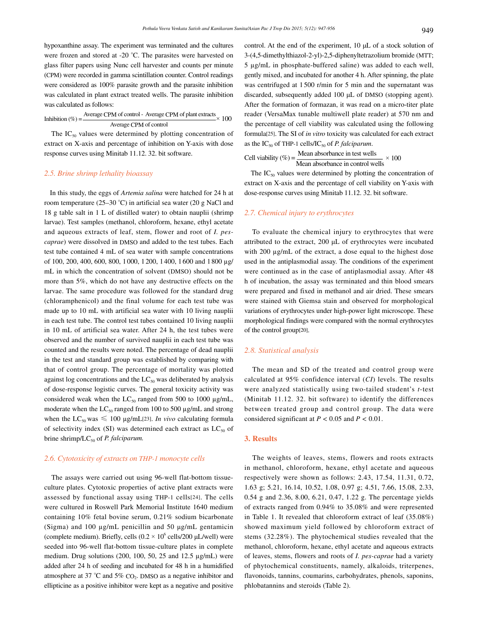hypoxanthine assay. The experiment was terminated and the cultures were frozen and stored at -20 °C. The parasites were harvested on glass filter papers using Nunc cell harvester and counts per minute (CPM) were recorded in gamma scintillation counter. Control readings were considered as 100% parasite growth and the parasite inhibition was calculated in plant extract treated wells. The parasite inhibition was calculated as follows:

Inhibition (%) =  $\frac{\text{Average CPM of control - Average CPM of plant extracts}}{\text{Average CPM of control}} \times 100$ 

The  $IC_{50}$  values were determined by plotting concentration of extract on X-axis and percentage of inhibition on Y-axis with dose response curves using Minitab 11.12. 32. bit software.

#### *2.5. Brine shrimp lethality bioassay*

 In this study, the eggs of *Artemia salina* were hatched for 24 h at room temperature (25–30 °C) in artificial sea water (20 g NaCl and 18 g table salt in 1 L of distilled water) to obtain nauplii (shrimp larvae). Test samples (methanol, chloroform, hexane, ethyl acetate and aqueous extracts of leaf, stem, flower and root of *I. pescaprae*) were dissolved in DMSO and added to the test tubes. Each test tube contained 4 mL of sea water with sample concentrations of 100, 200, 400, 600, 800, 1 000, 1 200, 1400, 1 600 and 1 800 µg/ mL in which the concentration of solvent (DMSO) should not be more than 5%, which do not have any destructive effects on the larvae. The same procedure was followed for the standard drug (chloramphenicol) and the final volume for each test tube was made up to 10 mL with artificial sea water with 10 living nauplii in each test tube. The control test tubes contained 10 living nauplii in 10 mL of artificial sea water. After 24 h, the test tubes were observed and the number of survived nauplii in each test tube was counted and the results were noted. The percentage of dead nauplii in the test and standard group was established by comparing with that of control group. The percentage of mortality was plotted against log concentrations and the  $LC_{50}$  was deliberated by analysis of dose-response logistic curves. The general toxicity activity was considered weak when the  $LC_{50}$  ranged from 500 to 1000  $\mu$ g/mL, moderate when the  $LC_{50}$  ranged from 100 to 500  $\mu$ g/mL and strong when the  $LC_{50}$  was  $\leq 100 \mu g/mL$ [23]. *In vivo* calculating formula of selectivity index (SI) was determined each extract as  $LC_{50}$  of brine shrimp/LC<sub>50</sub> of *P. falciparum*.

#### *2.6. Cytotoxicity of extracts on THP-1 monocyte cells*

 The assays were carried out using 96-well flat-bottom tissueculture plates. Cytotoxic properties of active plant extracts were assessed by functional assay using THP-1 cells[24]. The cells were cultured in Roswell Park Memorial Institute 1640 medium containing 10% fetal bovine serum, 0.21% sodium bicarbonate (Sigma) and 100 µg/mL penicillin and 50 μg/mL gentamicin (complete medium). Briefly, cells  $(0.2 \times 10^6 \text{ cells}/200 \text{ }\mu\text{L/well})$  were seeded into 96-well flat-bottom tissue-culture plates in complete medium. Drug solutions (200, 100, 50, 25 and 12.5 µg/mL) were added after 24 h of seeding and incubated for 48 h in a humidified atmosphere at 37 °C and 5%  $CO<sub>2</sub>$ . DMSO as a negative inhibitor and ellipticine as a positive inhibitor were kept as a negative and positive

control. At the end of the experiment, 10 μL of a stock solution of 3-(4,5-dimethylthiazol-2-yl)-2,5-diphenyltetrazolium bromide (MTT; 5 µg/mL in phosphate-buffered saline) was added to each well, gently mixed, and incubated for another 4 h. After spinning, the plate was centrifuged at 1 500 r/min for 5 min and the supernatant was discarded, subsequently added 100 μL of DMSO (stopping agent). After the formation of formazan, it was read on a micro-titer plate reader (VersaMax tunable multiwell plate reader) at 570 nm and the percentage of cell viability was calculated using the following formula[25]. The SI of *in vitro* toxicity was calculated for each extract as the  $IC_{50}$  of THP-1 cells/IC<sub>50</sub> of *P. falciparum*.

Cell viability (%) =  $\frac{\text{Mean absorbance in test wells}}{\text{Mean absorbance in control wells}} \times 100$ 

The  $IC_{50}$  values were determined by plotting the concentration of extract on X-axis and the percentage of cell viability on Y-axis with dose-response curves using Minitab 11.12. 32. bit software.

# *2.7. Chemical injury to erythrocytes*

 To evaluate the chemical injury to erythrocytes that were attributed to the extract, 200 μL of erythrocytes were incubated with 200  $\mu$ g/mL of the extract, a dose equal to the highest dose used in the antiplasmodial assay. The conditions of the experiment were continued as in the case of antiplasmodial assay. After 48 h of incubation, the assay was terminated and thin blood smears were prepared and fixed in methanol and air dried. These smears were stained with Giemsa stain and observed for morphological variations of erythrocytes under high-power light microscope. These morphological findings were compared with the normal erythrocytes of the control group[20].

# *2.8. Statistical analysis*

 The mean and SD of the treated and control group were calculated at 95% confidence interval (*CI*) levels. The results were analyzed statistically using two-tailed student's *t*-test (Minitab 11.12. 32. bit software) to identify the differences between treated group and control group. The data were considered significant at *P <* 0.05 and *P <* 0.01.

#### **3. Results**

 The weights of leaves, stems, flowers and roots extracts in methanol, chloroform, hexane, ethyl acetate and aqueous respectively were shown as follows: 2.43, 17.54, 11.31, 0.72, 1.63 g; 5.21, 16.14, 10.52, 1.08, 0.97 g; 4.51, 7.66, 15.08, 2.33, 0.54 g and 2.36, 8.00, 6.21, 0.47, 1.22 g. The percentage yields of extracts ranged from 0.94% to 35.08% and were represented in Table 1. It revealed that chloroform extract of leaf (35.08%) showed maximum yield followed by chloroform extract of stems (32.28%). The phytochemical studies revealed that the methanol, chloroform, hexane, ethyl acetate and aqueous extracts of leaves, stems, flowers and roots of *I. pes-caprae* had a variety of phytochemical constituents, namely, alkaloids, triterpenes, flavonoids, tannins, coumarins, carbohydrates, phenols, saponins, phlobatannins and steroids (Table 2).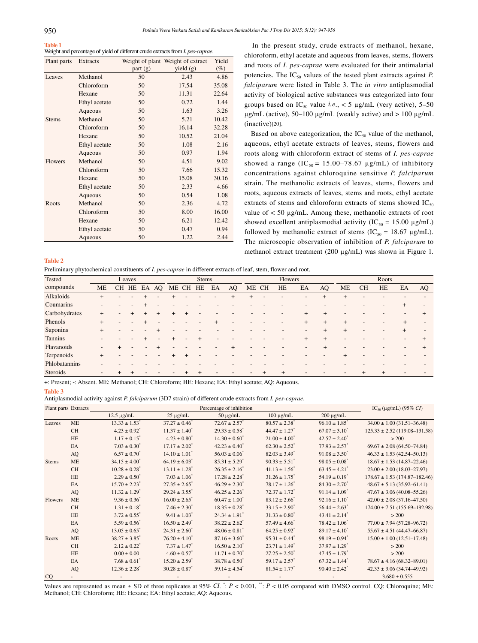# **Table 1**

Weight and percentage of yield of different crude extracts from *I. pes-caprae*.

| Plant parts    | Extracts      |         | Weight of plant Weight of extract | Yield  |
|----------------|---------------|---------|-----------------------------------|--------|
|                |               | part(g) | yield (g)                         | $(\%)$ |
| Leaves         | Methanol      | 50      | 2.43                              | 4.86   |
|                | Chloroform    | 50      | 17.54                             | 35.08  |
|                | Hexane        | 50      | 11.31                             | 22.64  |
|                | Ethyl acetate | 50      | 0.72                              | 1.44   |
|                | Aqueous       | 50      | 1.63                              | 3.26   |
| <b>Stems</b>   | Methanol      | 50      | 5.21                              | 10.42  |
|                | Chloroform    | 50      | 16.14                             | 32.28  |
|                | Hexane        | 50      | 10.52                             | 21.04  |
|                | Ethyl acetate | 50      | 1.08                              | 2.16   |
|                | Aqueous       | 50      | 0.97                              | 1.94   |
| <b>Flowers</b> | Methanol      | 50      | 4.51                              | 9.02   |
|                | Chloroform    | 50      | 7.66                              | 15.32  |
|                | Hexane        | 50      | 15.08                             | 30.16  |
|                | Ethyl acetate | 50      | 2.33                              | 4.66   |
|                | Aqueous       | 50      | 0.54                              | 1.08   |
| Roots          | Methanol      | 50      | 2.36                              | 4.72   |
|                | Chloroform    | 50      | 8.00                              | 16.00  |
|                | Hexane        | 50      | 6.21                              | 12.42  |
|                | Ethyl acetate | 50      | 0.47                              | 0.94   |
|                | Aqueous       | 50      | 1.22                              | 2.44   |

 In the present study, crude extracts of methanol, hexane, chloroform, ethyl acetate and aqueous from leaves, stems, flowers and roots of *I. pes-caprae* were evaluated for their antimalarial potencies. The  $IC_{50}$  values of the tested plant extracts against *P*. *falciparum* were listed in Table 3. The *in vitro* antiplasmodial activity of biological active substances was categorized into four groups based on  $IC_{50}$  value *i.e.*, < 5 µg/mL (very active), 5–50  $\mu$ g/mL (active), 50–100  $\mu$ g/mL (weakly active) and > 100  $\mu$ g/mL (inactive)[20].

Based on above categorization, the  $IC_{50}$  value of the methanol, aqueous, ethyl acetate extracts of leaves, stems, flowers and roots along with chloroform extract of stems of *I. pes-caprae* showed a range (IC<sub>50</sub> = 15.00–78.67  $\mu$ g/mL) of inhibitory concentrations against chloroquine sensitive *P. falciparum* strain. The methanolic extracts of leaves, stems, flowers and roots, aqueous extracts of leaves, stems and roots, ethyl acetate extracts of stems and chloroform extracts of stems showed  $IC_{50}$ value of < 50 µg/mL. Among these, methanolic extracts of root showed excellent antiplasmodial activity ( $IC_{50} = 15.00 \text{ µg/mL}$ ) followed by methanolic extract of stems (IC<sub>50</sub> = 18.67  $\mu$ g/mL). The microscopic observation of inhibition of *P. falciparum* to methanol extract treatment (200 µg/mL) was shown in Figure 1.

#### **Table 2**

Preliminary phytochemical constituents of *I. pes-caprae* in different extracts of leaf, stem, flower and root.

| Tested         |        |                          | Leaves |             |          |        | Stems |    |    |                |       | Flowers |           |        |        |           | Roots |        |    |
|----------------|--------|--------------------------|--------|-------------|----------|--------|-------|----|----|----------------|-------|---------|-----------|--------|--------|-----------|-------|--------|----|
| compounds      | ME     |                          |        | CH HE EA AQ | ME CH HE |        |       | EA | AQ | ME CH          |       | HE      | EA        | AQ     | ME     | <b>CH</b> | HE    | EA     | AQ |
| Alkaloids      | $\div$ |                          |        |             |          |        |       |    |    | $\overline{+}$ |       |         |           | $+$    | $^{+}$ |           |       |        |    |
| Coumarins      |        |                          |        |             |          |        |       |    |    |                |       |         |           |        |        |           |       |        |    |
| Carbohydrates  | $^{+}$ | $\overline{\phantom{a}}$ |        |             | $^{+}$   | $^{+}$ |       |    |    |                |       |         | $\ddot{}$ | $^{+}$ |        |           |       |        |    |
| Phenols        | $^{+}$ | $\overline{\phantom{0}}$ |        |             |          |        |       |    |    |                |       |         | $\ddot{}$ | $+$    | $^{+}$ |           |       | $^{+}$ |    |
| Saponins       | $^{+}$ |                          |        |             |          |        |       |    |    |                |       |         |           |        | $^{+}$ |           |       |        |    |
| <b>Tannins</b> |        |                          |        |             |          |        |       |    |    |                |       |         |           | $+$    |        |           |       |        |    |
| Flavanoids     |        |                          |        |             |          |        |       |    |    |                |       |         |           |        |        |           |       |        |    |
| Terpenoids     | $^{+}$ |                          |        |             |          |        |       |    |    |                |       |         |           |        |        |           |       |        |    |
| Phlobatannins  |        |                          |        |             |          |        |       |    |    |                |       |         |           |        |        |           |       |        |    |
| Steroids       |        |                          |        |             |          |        |       |    |    |                | $\pm$ | $^{+}$  |           |        |        |           |       |        |    |

+: Present; -: Absent. ME: Methanol; CH: Chloroform; HE: Hexane; EA: Ethyl acetate; AQ: Aqueous.

#### **Table 3**

Antiplasmodial activity against *P. falciparum* (3D7 strain) of different crude extracts from *I. pes-caprae*.

|              | Plant parts Extracts |                               |                               | Percentage of inhibition      |                               |                               | $IC_{50} (\mu g/mL) (95\% CI)$    |
|--------------|----------------------|-------------------------------|-------------------------------|-------------------------------|-------------------------------|-------------------------------|-----------------------------------|
|              |                      | $12.5 \mu g/mL$               | $25 \mu g/mL$                 | $50 \mu g/mL$                 | $100 \mu g/mL$                | $200 \mu g/mL$                |                                   |
| Leaves       | <b>ME</b>            | $13.33 \pm 1.53$              | $37.27 \pm 0.46$              | $72.67 \pm 2.57$ <sup>*</sup> | $80.57 \pm 2.38$ <sup>*</sup> | $96.10 \pm 1.85$ <sup>*</sup> | $34.00 \pm 1.00 (31.51 - 36.48)$  |
|              | <b>CH</b>            | $4.23 \pm 0.92$ <sup>*</sup>  | $11.37 \pm 1.40^{\circ}$      | $29.33 \pm 0.58$ <sup>*</sup> | $44.47 \pm 1.27$ <sup>*</sup> | $67.07 \pm 3.10^{\circ}$      | $125.33 \pm 2.52$ (119.08-131.58) |
|              | HE                   | $1.17 \pm 0.15$ <sup>*</sup>  | $4.23 \pm 0.80^*$             | $14.30 \pm 0.60^*$            | $21.00 \pm 4.00^*$            | $42.57 \pm 2.40^*$            | > 200                             |
|              | EA                   | $7.03 \pm 0.30^*$             | $17.17 \pm 2.02^*$            | $42.23 \pm 0.40^*$            | $62.30 \pm 2.52$ <sup>*</sup> | $77.93 \pm 2.57$ <sup>*</sup> | $69.67 \pm 2.08$ (64.50-74.84)    |
|              | AQ                   | $6.57 \pm 0.70^{\circ}$       | $14.10 \pm 1.01^*$            | $56.03 \pm 0.06^*$            | $82.03 \pm 3.49$ <sup>*</sup> | $91.08 \pm 3.50^*$            | $46.33 \pm 1.53$ (42.54-50.13)    |
| <b>Stems</b> | ME                   | $34.15 \pm 4.00^{\circ}$      | $64.19 \pm 6.03$ <sup>*</sup> | $85.31 \pm 5.29$ <sup>*</sup> | $90.33 \pm 5.51$ <sup>*</sup> | $98.05 \pm 0.08$ <sup>*</sup> | $18.67 \pm 1.53$ (14.87-22.46)    |
|              | <b>CH</b>            | $10.28 \pm 0.28$ <sup>*</sup> | $13.11 \pm 1.28$ <sup>*</sup> | $26.35 \pm 2.16$              | $41.13 \pm 1.56$ <sup>*</sup> | $63.45 \pm 4.21$ <sup>*</sup> | $23.00 \pm 2.00$ (18.03-27.97)    |
|              | HE                   | $2.29 \pm 0.50^{\circ}$       | $7.03 \pm 1.06^*$             | $17.28 \pm 2.28$ <sup>*</sup> | $31.26 \pm 1.75$ <sup>*</sup> | $54.19 \pm 0.19$ <sup>*</sup> | $178.67 \pm 1.53$ (174.87-182.46) |
|              | EA                   | $15.70 \pm 2.23$ <sup>*</sup> | $27.35 \pm 2.65$ <sup>*</sup> | $46.29 \pm 2.30^*$            | $78.17 \pm 1.26$ <sup>*</sup> | $84.30 \pm 2.70^*$            | $48.67 \pm 5.13 (35.92 - 61.41)$  |
|              | AQ                   | $11.32 \pm 1.29$ <sup>*</sup> | $29.24 \pm 3.55$ <sup>*</sup> | $46.25 \pm 2.26$              | $72.37 \pm 1.72$ <sup>*</sup> | $91.14 \pm 1.09$ <sup>*</sup> | $47.67 \pm 3.06$ (40.08-55.26)    |
| Flowers      | ME                   | $9.36 \pm 0.36^{\circ}$       | $16.00 \pm 2.65$ <sup>*</sup> | $60.47 \pm 1.00^*$            | $83.12 \pm 2.66$ <sup>*</sup> | $92.16 \pm 1.10^*$            | $42.00 \pm 2.08$ (37.16-47.50)    |
|              | <b>CH</b>            | $1.31 \pm 0.18$ <sup>*</sup>  | $7.46 \pm 2.30^{\circ}$       | $18.35 \pm 0.28$ <sup>*</sup> | $33.15 \pm 2.90^{\circ}$      | $56.44 \pm 2.63$ <sup>*</sup> | $174.00 \pm 7.51$ (155.69-192.98) |
|              | HE                   | $3.72 \pm 0.55$ <sup>*</sup>  | $9.41 \pm 1.03$ <sup>*</sup>  | $24.34 \pm 1.91$ <sup>*</sup> | $31.33 \pm 0.80^*$            | $43.41 \pm 2.14$ <sup>*</sup> | > 200                             |
|              | EA                   | $5.59 \pm 0.56$               | $16.50 \pm 2.49$ <sup>*</sup> | $38.22 \pm 2.62$ <sup>*</sup> | $57.49 \pm 4.66$ <sup>*</sup> | $78.42 \pm 1.06^*$            | $77.00 \pm 7.94 (57.28 - 96.72)$  |
|              | AQ                   | $13.05 \pm 0.65$ <sup>*</sup> | $24.31 \pm 2.60^{\degree}$    | $48.06 \pm 0.81$ <sup>*</sup> | $64.25 \pm 0.92$ <sup>*</sup> | $89.17 \pm 4.10^*$            | $55.67 \pm 4.51 (44.47 - 66.87)$  |
| Roots        | ME                   | $38.27 \pm 3.85$ <sup>*</sup> | $76.20 \pm 4.10^{\degree}$    | $87.16 \pm 3.60^*$            | $95.31 \pm 0.44$ <sup>*</sup> | $98.19 \pm 0.94$ <sup>*</sup> | $15.00 \pm 1.00$ (12.51-17.48)    |
|              | <b>CH</b>            | $2.12 \pm 0.22$ <sup>*</sup>  | $7.37 \pm 1.47$ <sup>*</sup>  | $16.50 \pm 2.10^*$            | $23.71 \pm 1.49$ <sup>*</sup> | $37.97 \pm 1.29$ <sup>*</sup> | > 200                             |
|              | HE                   | $0.00 \pm 0.00$               | $4.60 \pm 0.57$               | $11.71 \pm 0.70^*$            | $27.25 \pm 2.50^*$            | $47.45 \pm 1.79$ <sup>*</sup> | > 200                             |
|              | EA                   | $7.68 \pm 0.61$               | $15.20 \pm 2.59$ <sup>*</sup> | $38.78 \pm 0.50^*$            | $59.17 \pm 2.57$ <sup>*</sup> | $67.32 \pm 1.44$ <sup>*</sup> | $78.67 \pm 4.16 (68.32 - 89.01)$  |
|              | AQ                   | $12.36 \pm 2.28$              | $30.28 \pm 0.87$ <sup>*</sup> | $59.14 \pm 4.54$ <sup>*</sup> | $81.54 \pm 1.77$ <sup>*</sup> | $90.40 \pm 2.42$ <sup>*</sup> | $42.33 \pm 3.06$ (34.74-49.92)    |
| CQ           |                      |                               |                               |                               |                               |                               | $3.680 \pm 0.555$                 |

Values are represented as mean  $\pm$  SD of three replicates at 95% *CI*.  $: P < 0.001$ ,  $" : P < 0.05$  compared with DMSO control. CQ: Chloroquine; ME: Methanol; CH: Chloroform; HE: Hexane; EA: Ethyl acetate; AQ: Aqueous.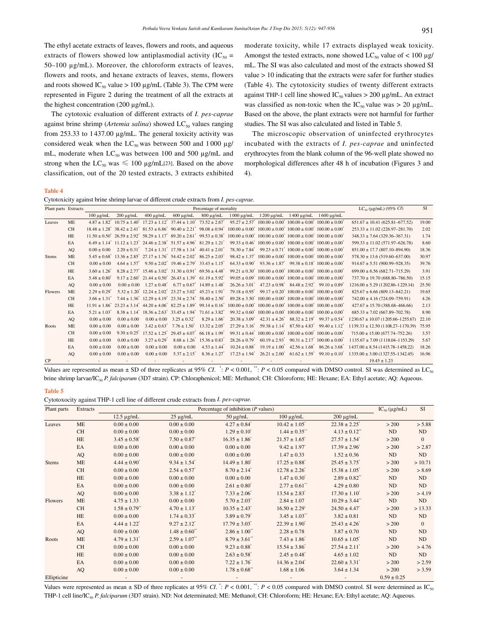The ethyl acetate extracts of leaves, flowers and roots, and aqueous extracts of flowers showed low antiplasmodial activity (IC<sub>50</sub> = 50–100 µg/mL). Moreover, the chloroform extracts of leaves, flowers and roots, and hexane extracts of leaves, stems, flowers and roots showed  $IC_{50}$  value > 100 µg/mL (Table 3). The CPM were represented in Figure 2 during the treatment of all the extracts at the highest concentration (200 µg/mL).

 The cytotoxic evaluation of different extracts of *I. pes-caprae* against brine shrimp (*Artemia salina*) showed LC<sub>50</sub> values ranging from 253.33 to 1437.00 µg/mL. The general toxicity activity was considered weak when the  $LC_{50}$  was between 500 and 1000  $\mu$ g/ mL, moderate when  $LC_{50}$  was between 100 and 500  $\mu$ g/mL and strong when the  $LC_{50}$  was  $\leq 100 \text{ µg/mL}$ [23]. Based on the above classification, out of the 20 tested extracts, 3 extracts exhibited moderate toxicity, while 17 extracts displayed weak toxicity. Amongst the tested extracts, none showed  $LC_{50}$  value of < 100  $\mu$ g/ mL. The SI was also calculated and most of the extracts showed SI value > 10 indicating that the extracts were safer for further studies (Table 4). The cytotoxicity studies of twenty different extracts against THP-1 cell line showed  $IC_{50}$  values  $> 200 \mu g/mL$ . An extract was classified as non-toxic when the  $IC_{50}$  value was > 20 µg/mL. Based on the above, the plant extracts were not harmful for further studies. The SI was also calculated and listed in Table 5.

 The microscopic observation of uninfected erythrocytes incubated with the extracts of *I. pes-caprae* and uninfected erythrocytes from the blank column of the 96-well plate showed no morphological differences after 48 h of incubation (Figures 3 and 4).

#### **Table 4**

Cytotoxicity against brine shrimp larvae of different crude extracts from *I. pes-caprae*.

| Plant parts Extracts |           |                              |                 |                               |                                                                                                                         | Percentage of mortality                                                                            |                                                                                                                                                                                                                                                                |                                                                                                                 |                                       |                                                             | $LC_{50}$ (µg/mL) (95% CI)             | <b>SI</b> |
|----------------------|-----------|------------------------------|-----------------|-------------------------------|-------------------------------------------------------------------------------------------------------------------------|----------------------------------------------------------------------------------------------------|----------------------------------------------------------------------------------------------------------------------------------------------------------------------------------------------------------------------------------------------------------------|-----------------------------------------------------------------------------------------------------------------|---------------------------------------|-------------------------------------------------------------|----------------------------------------|-----------|
|                      |           | $100 \mu g/mL$               | $200 \mu g/mL$  | $400 \mu g/mL$                | $600 \mu g/mL$                                                                                                          | $800 \mu g/mL$                                                                                     |                                                                                                                                                                                                                                                                | 1000 μg/mL 1200 μg/mL 1400 μg/mL 1600 μg/mL                                                                     |                                       |                                                             |                                        |           |
| Leaves               | <b>ME</b> | $4.87 + 1.82^*$              |                 |                               | $10.75 \pm 1.40^*$ $17.23 \pm 1.12^*$ $37.44 \pm 1.10^*$ $73.52 \pm 2.67^*$                                             |                                                                                                    |                                                                                                                                                                                                                                                                | $95.27 \pm 2.57^*$ 100.00 $\pm$ 0.00 <sup>*</sup> 100.00 $\pm$ 0.00 <sup>*</sup> 100.00 $\pm$ 0.00 <sup>*</sup> |                                       |                                                             | $651.67 \pm 10.41 (625.81 - 677.52)$   | 19.00     |
|                      | <b>CH</b> |                              |                 |                               |                                                                                                                         | $18.48 \pm 1.28$ $38.42 \pm 2.41$ $81.53 \pm 6.86$ $90.40 \pm 2.21$ $98.08 \pm 0.94$ $8.04$        |                                                                                                                                                                                                                                                                | $100.00 \pm 0.00^*$ $100.00 \pm 0.00^*$ $100.00 \pm 0.00^*$ $100.00 \pm 0.00^*$                                 |                                       |                                                             | $253.33 \pm 11.02$ (226.97-281.70)     | 2.02      |
|                      | <b>HE</b> |                              |                 |                               |                                                                                                                         |                                                                                                    | $11.50 \pm 0.50^{\circ}$ $26.59 \pm 2.92^{\circ}$ $58.29 \pm 1.17^{\circ}$ $89.20 \pm 2.61^{\circ}$ $99.53 \pm 0.38^{\circ}$ $100.00 \pm 0.00^{\circ}$ $100.00 \pm 0.00^{\circ}$ $100.00 \pm 0.00^{\circ}$ $100.00 \pm 0.00^{\circ}$ $100.00 \pm 0.00^{\circ}$ |                                                                                                                 |                                       |                                                             | $348.33 \pm 7.64 (329.36 - 367.31)$    | 1.74      |
|                      | EA        |                              |                 |                               | $6.49 \pm 1.14^*$ $11.12 \pm 1.23^*$ $24.46 \pm 2.38^*$ $51.57 \pm 4.96^*$ $81.29 \pm 1.21^*$                           |                                                                                                    |                                                                                                                                                                                                                                                                | $99.33 \pm 0.46^*$ 100.00 $\pm$ 0.00 <sup>*</sup> 100.00 $\pm$ 0.00 <sup>*</sup> 100.00 $\pm$ 0.00 <sup>*</sup> |                                       |                                                             | $599.33 \pm 11.02$ (571.97-626.78)     | 8.60      |
|                      | AQ        | $0.00 \pm 0.00$              |                 |                               | $2.20 \pm 0.31^{\circ}$ $7.24 \pm 1.31^{\circ}$ $17.58 \pm 1.14^{\circ}$ $40.41 \pm 2.01^{\circ}$                       |                                                                                                    |                                                                                                                                                                                                                                                                | $78.30 \pm 7.84^*$ 99.23 $\pm$ 0.71 <sup>*</sup> 100.00 $\pm$ 0.00 <sup>*</sup> 100.00 $\pm$ 0.00 <sup>*</sup>  |                                       |                                                             | $851.00 \pm 17.7$ (807.10-894.90)      | 18.36     |
| <b>Stems</b>         | <b>ME</b> | $5.45 + 0.68$                |                 |                               | $13.36 \pm 2.85$ <sup>*</sup> $27.17 \pm 1.76$ <sup>*</sup> $54.42 \pm 2.02$ <sup>*</sup> $86.25 \pm 2.03$ <sup>*</sup> |                                                                                                    |                                                                                                                                                                                                                                                                | $98.42 \pm 1.37^*$ 100.00 $\pm$ 0.00 <sup>*</sup> 100.00 $\pm$ 0.00 <sup>*</sup> 100.00 $\pm$ 0.00 <sup>*</sup> |                                       |                                                             | $578.30 \pm 13.6 (519.60 - 637.00)$    | 30.97     |
|                      | <b>CH</b> | $0.00 \pm 0.00$              |                 |                               | $4.64 \pm 1.57$ <sup>*</sup> $9.50 \pm 2.02$ <sup>*</sup> $19.46 \pm 2.79$ <sup>*</sup> $33.43 \pm 1.15$ <sup>*</sup>   |                                                                                                    |                                                                                                                                                                                                                                                                | $64.33 \pm 0.90^*$ 93.36 $\pm 1.87^*$ 99.38 $\pm 0.18^*$ 100.00 $\pm 0.00^*$                                    |                                       |                                                             | $914.67 \pm 5.51 (900.99 - 928.35)$    | 39.76     |
|                      | <b>HE</b> | $3.60 \pm 1.26$              |                 |                               | $8.28 \pm 2.77$ <sup>*</sup> $15.46 \pm 3.02$ <sup>*</sup> $31.30 \pm 0.91$ <sup>*</sup> $69.56 \pm 4.48$ <sup>*</sup>  |                                                                                                    |                                                                                                                                                                                                                                                                | $99.21 \pm 0.30^*$ $100.00 \pm 0.00^*$ $100.00 \pm 0.00^*$ $100.00 \pm 0.00^*$                                  |                                       |                                                             | $699.00 \pm 6.56 (682.71 - 715.29)$    | 3.91      |
|                      | EA        | $5.48 \pm 0.80$              |                 |                               | $9.17 \pm 2.60^{\circ}$ $21.44 \pm 0.50^{\circ}$ $26.43 \pm 1.39^{\circ}$ $61.19 \pm 5.92^{\circ}$                      |                                                                                                    |                                                                                                                                                                                                                                                                | $99.05 \pm 0.09^*$ $100.00 \pm 0.00^*$ $100.00 \pm 0.00^*$ $100.00 \pm 0.00^*$                                  |                                       |                                                             | $737.70 \pm 19.70$ (688.80-786.50)     | 15.15     |
|                      | AO        | $0.00 \pm 0.00$              | $0.00 \pm 0.00$ |                               | $1.27 \pm 0.48^{\circ}$ 6.77 $\pm 0.67^{\circ}$ 14.89 $\pm 1.48^{\circ}$                                                |                                                                                                    |                                                                                                                                                                                                                                                                | $26.26 \pm 3.01^{\circ}$ $47.23 \pm 0.98^{\circ}$ $84.48 \pm 2.92^{\circ}$ $99.10 \pm 0.89^{\circ}$             |                                       |                                                             | $1216.00 \pm 5.29$ (1202.86-1229.14)   | 25.50     |
| <b>Flowers</b>       | <b>ME</b> | $2.29 \pm 0.29$ <sup>*</sup> |                 |                               |                                                                                                                         | $5.32 \pm 1.20^*$ 12.24 $\pm 2.02^*$ 23.27 $\pm 3.02^*$ 45.23 $\pm 1.91^*$                         |                                                                                                                                                                                                                                                                | $79.18 \pm 0.95^*$ 99.17 $\pm 0.20^*$ 100.00 $\pm 0.00^*$ 100.00 $\pm 0.00^*$                                   |                                       |                                                             | $825.67 \pm 6.66$ (809.13-842.21)      | 19.65     |
|                      | CH        | $3.66 \pm 1.31$              |                 |                               |                                                                                                                         | $7.44 \pm 1.36^{\circ}$ 12.29 $\pm 4.19^{\circ}$ 23.34 $\pm 2.74^{\circ}$ 58.40 $\pm 2.50^{\circ}$ |                                                                                                                                                                                                                                                                | $89.28 \pm 3.50^*$ $100.00 \pm 0.00^*$ $100.00 \pm 0.00^*$ $100.00 \pm 0.00^*$                                  |                                       |                                                             | $742.00 \pm 4.16 (724.09 - 759.91)$    | 4.26      |
|                      | <b>HE</b> | $11.91 \pm 1.86^*$           |                 |                               |                                                                                                                         | $23.23 \pm 3.14^*$ 44.20 $\pm 4.06^*$ 82.25 $\pm 1.89^*$ 99.14 $\pm 0.16^*$                        |                                                                                                                                                                                                                                                                | $100.00 \pm 0.00^*$ $100.00 \pm 0.00^*$ $100.00 \pm 0.00^*$ $100.00 \pm 0.00^*$                                 |                                       |                                                             | $427.67 \pm 15.70$ (388.68-466.66)     | 2.13      |
|                      | EA        | $5.21 \pm 1.03$              |                 |                               |                                                                                                                         | $8.38 \pm 1.14^*$ $18.36 \pm 2.63^*$ $33.45 \pm 1.94^*$ $71.61 \pm 3.82^*$                         |                                                                                                                                                                                                                                                                | $99.32 \pm 0.60^*$ 100.00 $\pm$ 0.00 <sup>*</sup> 100.00 $\pm$ 0.00 <sup>*</sup> 100.00 $\pm$ 0.00 <sup>*</sup> |                                       |                                                             | $685.33 \pm 7.02 (667.89 - 702.78)$    | 8.90      |
|                      | AO        | $0.00 \pm 0.00$              | $0.00 \pm 0.00$ |                               | $0.00 \pm 0.00$ $3.25 \pm 0.32^*$                                                                                       | $8.29 \pm 1.66^*$                                                                                  | $20.38 \pm 3.09$ <sup>*</sup>                                                                                                                                                                                                                                  |                                                                                                                 | $42.31 \pm 4.26^*$ $88.32 \pm 2.19^*$ | $99.37 \pm 0.54$                                            | $1230.67 \pm 10.07$ (1205.66-1255.67)  | 22.10     |
| Roots                | <b>ME</b> | $0.00 \pm 0.00$              | $0.00 \pm 0.00$ | $3.42 \pm 0.63$ <sup>*</sup>  | $7.76 \pm 1.50^{\circ}$                                                                                                 | $13.32 \pm 2.05$                                                                                   |                                                                                                                                                                                                                                                                | $27.29 \pm 3.16^{*}$ 59.38 $\pm 1.14^{*}$                                                                       |                                       | $87.50 \pm 4.83$ <sup>*</sup> 99.40 $\pm 1.12$ <sup>*</sup> | $1139.33 \pm 12.50$ (1108.27-1170.39)  | 75.95     |
|                      | <b>CH</b> | $0.00 \pm 0.00$              | $9.30 \pm 0.25$ | $17.52 \pm 1.25$ <sup>*</sup> | $29.45 \pm 4.07$ <sup>*</sup> 66.18 $\pm 1.99$ <sup>*</sup>                                                             |                                                                                                    | $99.31 \pm 0.44$ <sup>*</sup>                                                                                                                                                                                                                                  | $100.00 \pm 0.00^*$ $100.00 \pm 0.00^*$ $100.00 \pm 0.00^*$                                                     |                                       |                                                             | $715.00 \pm 15.00$ (677.74-752.26)     | 3.57      |
|                      | <b>HE</b> | $0.00 \pm 0.00$              | $0.00 \pm 0.00$ | $3.27 \pm 0.29$ <sup>*</sup>  | $8.68 \pm 1.26$                                                                                                         | $15.36 \pm 0.83$ <sup>*</sup>                                                                      | $28.26 \pm 0.79$ <sup>*</sup>                                                                                                                                                                                                                                  | $60.19 \pm 2.93$                                                                                                |                                       | $90.31 \pm 2.17^*$ $100.00 \pm 0.00^*$                      | $1135.67 \pm 7.09$ (1118.04-1153.29)   | 5.67      |
|                      | EA        | $0.00 \pm 0.00$              | $0.00 \pm 0.00$ | $0.00 \pm 0.00$               | $0.00 \pm 0.00$                                                                                                         | $4.53 \pm 1.44$ <sup>*</sup>                                                                       | $10.24 \pm 0.88$ <sup>*</sup>                                                                                                                                                                                                                                  | $19.19 \pm 1.00^{\circ}$                                                                                        | $42.56 \pm 1.68$ <sup>*</sup>         | $86.26 \pm 3.68$                                            | $1437.00 \pm 8.54 (1415.78 - 1458.22)$ | 18.26     |
|                      | AQ        | $0.00 \pm 0.00$              | $0.00 \pm 0.00$ | $0.00 \pm 0.00$               | $5.37 \pm 2.15$ <sup>*</sup>                                                                                            | $8.36 \pm 1.27$ <sup>*</sup>                                                                       | $17.23 \pm 1.94$ <sup>*</sup>                                                                                                                                                                                                                                  | $26.21 \pm 2.00^*$                                                                                              | $61.62 \pm 1.59$ <sup>*</sup>         | $99.10 \pm 0.10^{\circ}$                                    | $1335.00 \pm 3.00$ (1327.55-1342.45)   | 16.96     |
| CP                   |           |                              |                 |                               |                                                                                                                         |                                                                                                    |                                                                                                                                                                                                                                                                |                                                                                                                 |                                       |                                                             | $19.45 \pm 1.23$                       |           |

Values are represented as mean  $\pm$  SD of three replicates at 95% *CI*.  $\degree: P < 0.001$ ,  $\degree: P < 0.05$  compared with DMSO control. SI was determined as LC<sub>s0</sub> brine shrimp larvae/IC<sub>50</sub> P. falciparum (3D7 strain). CP: Chloraphenicol; ME: Methanol; CH: Chloroform; HE: Hexane; EA: Ethyl acetate; AQ: Aqueous.

#### **Table 5**

Cytotoxocity against THP-1 cell line of different crude extracts from *I. pes-caprae.*

| Plant parts  | Extracts  |                               | Percentage of inhibition $(P$ values) |                               |                               |                                |                 |            |  |  |  |  |
|--------------|-----------|-------------------------------|---------------------------------------|-------------------------------|-------------------------------|--------------------------------|-----------------|------------|--|--|--|--|
|              |           | $12.5 \mu g/mL$               | $25 \mu g/mL$                         | $50 \mu g/mL$                 | $100 \mu g/mL$                | $200 \mu g/mL$                 |                 |            |  |  |  |  |
| Leaves       | <b>ME</b> | $0.00 \pm 0.00$               | $0.00 \pm 0.00$                       | $4.27 \pm 0.84$ <sup>*</sup>  | $10.42 \pm 1.05^*$            | $22.38 \pm 2.25$ <sup>*</sup>  | > 200           | > 5.88     |  |  |  |  |
|              | <b>CH</b> | $0.00 \pm 0.00$               | $0.00 \pm 0.00$                       | $1.29 \pm 0.10^*$             | $1.44 \pm 0.35$ **            | $4.13 \pm 0.12$ <sup>**</sup>  | ND              | ND         |  |  |  |  |
|              | HE        | $3.45 \pm 0.58^*$             | $7.50 \pm 0.87$ <sup>*</sup>          | $16.35 \pm 1.86^*$            | $21.57 \pm 1.65$ <sup>*</sup> | $27.57 \pm 1.54$ <sup>*</sup>  | > 200           | $\theta$   |  |  |  |  |
|              | EA        | $0.00 \pm 0.00$               | $0.00 \pm 0.00$                       | $0.00 \pm 0.00$               | $9.42 \pm 1.97$ <sup>*</sup>  | $17.39 \pm 2.96$ <sup>*</sup>  | > 200           | > 2.87     |  |  |  |  |
|              | AQ        | $0.00 \pm 0.00$               | $0.00 \pm 0.00$                       | $0.00 \pm 0.00$               | $1.47 \pm 0.33$               | $1.52 \pm 0.36$                | ND              | ND         |  |  |  |  |
| <b>Stems</b> | <b>ME</b> | $4.44 \pm 0.90^*$             | $9.34 \pm 1.54$ <sup>*</sup>          | $14.49 \pm 1.80^*$            | $17.25 \pm 0.88$ <sup>*</sup> | $25.45 \pm 3.75$ <sup>*</sup>  | > 200           | >10.71     |  |  |  |  |
|              | <b>CH</b> | $0.00 \pm 0.00$               | $2.54 \pm 0.57$ <sup>*</sup>          | $8.70 \pm 2.14$ <sup>*</sup>  | $12.78 \pm 2.26^*$            | $15.38 \pm 1.05^*$             | > 200           | > 8.69     |  |  |  |  |
|              | HE        | $0.00 \pm 0.00$               | $0.00 \pm 0.00$                       | $0.00 \pm 0.00$               | $1.47 \pm 0.30^*$             | $2.89 \pm 0.82$ <sup>**</sup>  | ND              | ND         |  |  |  |  |
|              | EA        | $0.00 \pm 0.00$               | $0.00 \pm 0.00$                       | $2.61 \pm 0.80^*$             | $2.77 \pm 0.61$ <sup>**</sup> | $4.29 \pm 0.80$                | ND              | ${\rm ND}$ |  |  |  |  |
|              | AQ        | $0.00 \pm 0.00$               | $3.38 \pm 1.12$ <sup>*</sup>          | $7.33 \pm 2.06^*$             | $13.54 \pm 2.83$ <sup>*</sup> | $17.30 \pm 1.10^*$             | > 200           | > 4.19     |  |  |  |  |
| Flowers      | <b>ME</b> | $4.75 \pm 1.33$               | $0.00 \pm 0.00$                       | $5.70 \pm 2.03^*$             | $2.84 \pm 1.07$               | $10.29 \pm 3.44$ <sup>**</sup> | ND              | ND         |  |  |  |  |
|              | <b>CH</b> | $1.58 \pm 0.79$ <sup>**</sup> | $4.70 \pm 1.13$ <sup>*</sup>          | $10.35 \pm 2.43$ <sup>*</sup> | $16.50 \pm 2.29$ <sup>*</sup> | $24.50 \pm 4.47$ <sup>*</sup>  | > 200           | > 13.33    |  |  |  |  |
|              | <b>HE</b> | $0.00 \pm 0.00$               | $1.74 \pm 0.33$ <sup>*</sup>          | $3.89 \pm 0.79$ <sup>*</sup>  | $3.45 \pm 1.03$ <sup>**</sup> | $3.82 \pm 0.81$                | ND              | $\rm ND$   |  |  |  |  |
|              | EA        | $4.44 \pm 1.22$ <sup>*</sup>  | $9.27 \pm 2.12$ <sup>*</sup>          | $17.79 \pm 3.03$ <sup>*</sup> | $22.39 \pm 1.90^*$            | $25.43 \pm 4.26$ <sup>*</sup>  | > 200           | $\Omega$   |  |  |  |  |
|              | AQ        | $0.00 \pm 0.00$               | $1.48 \pm 0.60$ **                    | $2.86 \pm 1.00$ <sup>**</sup> | $2.28 \pm 0.78$               | $3.87 \pm 0.70$                | ND              | ND         |  |  |  |  |
| Roots        | <b>ME</b> | $4.79 \pm 1.31$ <sup>*</sup>  | $2.59 \pm 1.07$ **                    | $8.79 \pm 3.61$ **            | $7.43 \pm 1.86^*$             | $10.65 \pm 1.05^*$             | ND              | ND         |  |  |  |  |
|              | <b>CH</b> | $0.00 \pm 0.00$               | $0.00 \pm 0.00$                       | $9.23 \pm 0.88$ <sup>*</sup>  | $15.54 \pm 3.86^*$            | $27.54 \pm 2.11$ <sup>*</sup>  | > 200           | > 4.76     |  |  |  |  |
|              | HE        | $0.00 \pm 0.00$               | $0.00 \pm 0.00$                       | $2.63 \pm 0.58$ <sup>*</sup>  | $2.45 \pm 0.48$ <sup>*</sup>  | $4.65 \pm 1.02$                | ND              | ND         |  |  |  |  |
|              | EA        | $0.00 \pm 0.00$               | $0.00 \pm 0.00$                       | $7.22 \pm 1.76$ <sup>*</sup>  | $14.36 \pm 2.04^*$            | $22.60 \pm 3.31^*$             | > 200           | > 2.59     |  |  |  |  |
|              | AQ        | $0.00 \pm 0.00$               | $0.00 \pm 0.00$                       | $1.78 \pm 0.68$ **            | $1.68 \pm 1.06$               | $3.64 \pm 1.34$                | > 200           | > 3.59     |  |  |  |  |
| Ellipticine  |           |                               |                                       |                               |                               |                                | $0.59 \pm 0.25$ |            |  |  |  |  |

Values were represented as mean  $\pm$  SD of three replicates at 95% *CI*.  $\degree: P < 0.001$ ,  $\degree: P < 0.05$  compared with DMSO control. SI were determined as IC<sub>50</sub> THP-1 cell line/IC<sub>50</sub> P. falciparum (3D7 strain). ND: Not determinated; ME: Methanol; CH: Chloroform; HE: Hexane; EA: Ethyl acetate; AQ: Aqueous.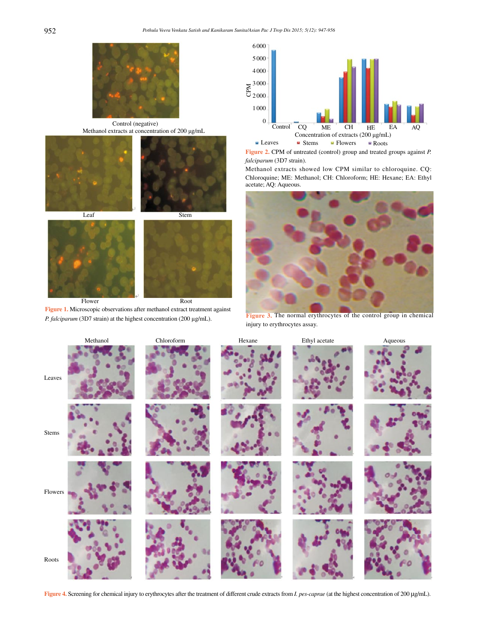

Control (negative) Methanol extracts at concentration of 200 μg/mL





**Figure 1.** Microscopic observations after methanol extract treatment against *P. falciparum* (3D7 strain) at the highest concentration (200 µg/mL).



**Figure 2.** CPM of untreated (control) group and treated groups against *P. falciparum* (3D7 strain).

Methanol extracts showed low CPM similar to chloroquine. CQ: Chloroquine; ME: Methanol; CH: Chloroform; HE: Hexane; EA: Ethyl acetate; AQ: Aqueous.



Figure 3. The normal erythrocytes of the control group in chemical injury to erythrocytes assay.



**Figure 4.** Screening for chemical injury to erythrocytes after the treatment of different crude extracts from *I. pes-caprae* (at the highest concentration of 200 μg/mL).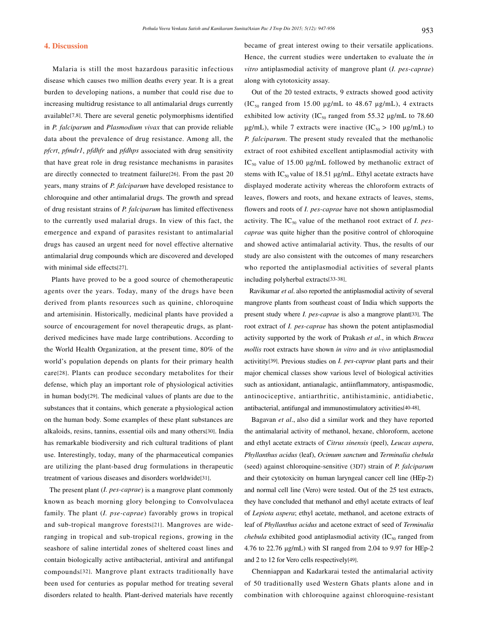#### **4. Discussion**

 Malaria is still the most hazardous parasitic infectious disease which causes two million deaths every year. It is a great burden to developing nations, a number that could rise due to increasing multidrug resistance to all antimalarial drugs currently available[7,8]. There are several genetic polymorphisms identified in *P. falciparum* and *Plasmodium vivax* that can provide reliable data about the prevalence of drug resistance. Among all, the *pfcrt*, *pfmdr1*, *pfdhfr* and *pfdhps* associated with drug sensitivity that have great role in drug resistance mechanisms in parasites are directly connected to treatment failure[26]. From the past 20 years, many strains of *P. falciparum* have developed resistance to chloroquine and other antimalarial drugs. The growth and spread of drug resistant strains of *P. falciparum* has limited effectiveness to the currently used malarial drugs. In view of this fact, the emergence and expand of parasites resistant to antimalarial drugs has caused an urgent need for novel effective alternative antimalarial drug compounds which are discovered and developed with minimal side effects[27].

 Plants have proved to be a good source of chemotherapeutic agents over the years. Today, many of the drugs have been derived from plants resources such as quinine, chloroquine and artemisinin. Historically, medicinal plants have provided a source of encouragement for novel therapeutic drugs, as plantderived medicines have made large contributions. According to the World Health Organization, at the present time, 80% of the world's population depends on plants for their primary health care[28]. Plants can produce secondary metabolites for their defense, which play an important role of physiological activities in human body[29]. The medicinal values of plants are due to the substances that it contains, which generate a physiological action on the human body. Some examples of these plant substances are alkaloids, resins, tannins, essential oils and many others[30]. India has remarkable biodiversity and rich cultural traditions of plant use. Interestingly, today, many of the pharmaceutical companies are utilizing the plant-based drug formulations in therapeutic treatment of various diseases and disorders worldwide[31].

 The present plant (*I. pes-caprae*) is a mangrove plant commonly known as beach morning glory belonging to Convolvulacea family. The plant (*I. pse-caprae*) favorably grows in tropical and sub-tropical mangrove forests[21]. Mangroves are wideranging in tropical and sub-tropical regions, growing in the seashore of saline intertidal zones of sheltered coast lines and contain biologically active antibacterial, antiviral and antifungal compounds[32]. Mangrove plant extracts traditionally have been used for centuries as popular method for treating several disorders related to health. Plant-derived materials have recently became of great interest owing to their versatile applications. Hence, the current studies were undertaken to evaluate the *in vitro* antiplasmodial activity of mangrove plant (*I. pes-caprae*) along with cytotoxicity assay.

 Out of the 20 tested extracts, 9 extracts showed good activity (IC<sub>50</sub> ranged from 15.00  $\mu$ g/mL to 48.67  $\mu$ g/mL), 4 extracts exhibited low activity (IC<sub>50</sub> ranged from 55.32  $\mu$ g/mL to 78.60 μg/mL), while 7 extracts were inactive (IC<sub>50</sub> > 100 μg/mL) to *P. falciparum*. The present study revealed that the methanolic extract of root exhibited excellent antiplasmodial activity with IC<sub>50</sub> value of 15.00  $\mu$ g/mL followed by methanolic extract of stems with  $IC_{50}$  value of 18.51  $\mu$ g/mL. Ethyl acetate extracts have displayed moderate activity whereas the chloroform extracts of leaves, flowers and roots, and hexane extracts of leaves, stems, flowers and roots of *I. pes-caprae* have not shown antiplasmodial activity. The IC<sub>50</sub> value of the methanol root extract of *I. pescaprae* was quite higher than the positive control of chloroquine and showed active antimalarial activity. Thus, the results of our study are also consistent with the outcomes of many researchers who reported the antiplasmodial activities of several plants including polyherbal extracts[33-38].

 Ravikumar *et al*. also reported the antiplasmodial activity of several mangrove plants from southeast coast of India which supports the present study where *I. pes-caprae* is also a mangrove plant[33]. The root extract of *I. pes-caprae* has shown the potent antiplasmodial activity supported by the work of Prakash *et al*., in which *Brucea mollis* root extracts have shown *in vitro* and *in vivo* antiplasmodial activitity[39]. Previous studies on *I. pes-caprae* plant parts and their major chemical classes show various level of biological activities such as antioxidant, antianalagic, antiinflammatory, antispasmodic, antinociceptive, antiarthritic, antihistaminic, antidiabetic, antibacterial, antifungal and immunostimulatory activities[40-48].

 Bagavan *et al*., also did a similar work and they have reported the antimalarial activity of methanol, hexane, chloroform, acetone and ethyl acetate extracts of *Citrus sinensis* (peel), *Leucas aspera*, *Phyllanthus acidus* (leaf), *Ocimum sanctum* and *Terminalia chebula* (seed) against chloroquine-sensitive (3D7) strain of *P. falciparum* and their cytotoxicity on human laryngeal cancer cell line (HEp-2) and normal cell line (Vero) were tested. Out of the 25 test extracts, they have concluded that methanol and ethyl acetate extracts of leaf of *Lepiota aspera*; ethyl acetate, methanol, and acetone extracts of leaf of *Phyllanthus acidus* and acetone extract of seed of *Terminalia chebula* exhibited good antiplasmodial activity  $(IC_{50}$  ranged from 4.76 to 22.76 μg/mL) with SI ranged from 2.04 to 9.97 for HEp-2 and 2 to 12 for Vero cells respectively[49].

 Chenniappan and Kadarkarai tested the antimalarial activity of 50 traditionally used Western Ghats plants alone and in combination with chloroquine against chloroquine-resistant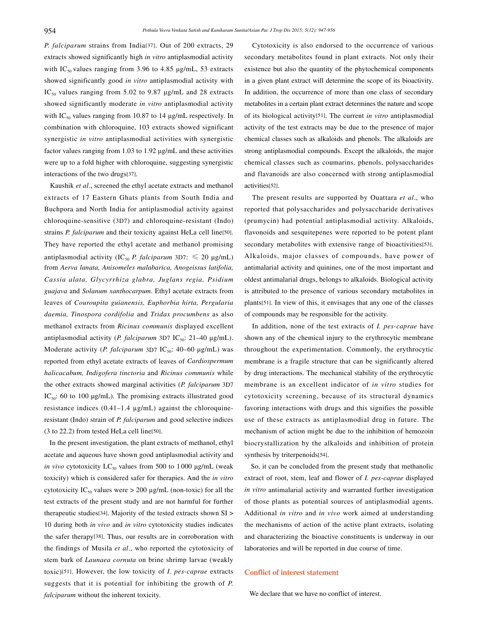*P. falciparum* strains from India[37]. Out of 200 extracts, 29 extracts showed significantly high *in vitro* antiplasmodial activity with  $IC_{50}$  values ranging from 3.96 to 4.85  $\mu$ g/mL, 53 extracts showed significantly good *in vitro* antiplasmodial activity with  $IC_{50}$  values ranging from 5.02 to 9.87  $\mu$ g/mL and 28 extracts showed significantly moderate *in vitro* antiplasmodial activity with  $IC_{50}$  values ranging from 10.87 to 14  $\mu$ g/mL respectively. In combination with chloroquine, 103 extracts showed significant synergistic *in vitro* antiplasmodial activities with synergistic factor values ranging from 1.03 to 1.92 μg/mL and these activities were up to a fold higher with chloroquine, suggesting synergistic interactions of the two drugs[37].

 Kaushik *et al*., screened the ethyl acetate extracts and methanol extracts of 17 Eastern Ghats plants from South India and Buchpora and North India for antiplasmodial activity against chloroquine-sensitive (3D7) and chloroquine-resistant (Indo) strains *P. falciparum* and their toxicity against HeLa cell line[50]. They have reported the ethyl acetate and methanol promising antiplasmodial activity (IC<sub>50</sub> *P. falciparum* 3D7:  $\leq 20 \text{ µg/mL}$ ) from *Aerva lanata, Anisomeles malabarica, Anogeissus latifolia, Cassia alata, Glycyrrhiza glabra, Juglans regia, Psidium guajava* and *Solanum xanthocarpum*. Ethyl acetate extracts from leaves of *Couroupita guianensis, Euphorbia hirta, Pergularia daemia, Tinospora cordifolia* and *Tridax procumbens* as also methanol extracts from *Ricinus communis* displayed excellent antiplasmodial activity (*P. falciparum* 3D7 IC<sub>50</sub>: 21–40 μg/mL). Moderate activity (*P. falciparum* 3D7 IC<sub>50</sub>: 40-60 μg/mL) was reported from ethyl acetate extracts of leaves of *Cardiospermum halicacabum, Indigofera tinctoria* and *Ricinus communis* while the other extracts showed marginal activities (*P. falciparum* 3D7 IC<sub>50</sub>: 60 to 100  $\mu$ g/mL). The promising extracts illustrated good resistance indices (0.41–1.4 µg/mL) against the chloroquineresistant (Indo) strain of *P. falciparum* and good selective indices (3 to 22.2) from tested HeLa cell line[50].

 In the present investigation, the plant extracts of methanol, ethyl acetate and aqueous have shown good antiplasmodial activity and *in vivo* cytotoxicity  $LC_{50}$  values from 500 to 1000  $\mu$ g/mL (weak toxicity) which is considered safer for therapies. And the *in vitro* cytotoxicity IC<sub>50</sub> values were  $> 200 \mu g/mL$  (non-toxic) for all the test extracts of the present study and are not harmful for further therapeutic studies[34]. Majority of the tested extracts shown SI > 10 during both *in vivo* and *in vitro* cytotoxicity studies indicates the safer therapy[38]. Thus, our results are in corroboration with the findings of Musila *et al*., who reported the cytotoxicity of stem bark of *Launaea cornuta* on brine shrimp larvae (weakly toxic)[51]. However, the low toxicity of *I. pes-caprae* extracts suggests that it is potential for inhibiting the growth of *P. falciparum* without the inherent toxicity.

 Cytotoxicity is also endorsed to the occurrence of various secondary metabolites found in plant extracts. Not only their existence but also the quantity of the phytochemical components in a given plant extract will determine the scope of its bioactivity. In addition, the occurrence of more than one class of secondary metabolites in a certain plant extract determines the nature and scope of its biological activity[51]. The current *in vitro* antiplasmodial activity of the test extracts may be due to the presence of major chemical classes such as alkaloids and phenols. The alkaloids are strong antiplasmodial compounds. Except the alkaloids, the major chemical classes such as coumarins, phenols, polysaccharides and flavanoids are also concerned with strong antiplasmodial activities[52].

 The present results are supported by Ouattara *et al*., who reported that polysaccharides and polysaccharide derivatives (prumycin) had potential antiplasmodial activity. Alkaloids, flavonoids and sesquitepenes were reported to be potent plant secondary metabolites with extensive range of bioactivities[53]. Alkaloids, major classes of compounds, have power of antimalarial activity and quinines, one of the most important and oldest antimalarial drugs, belongs to alkaloids. Biological activity is attributed to the presence of various secondary metabolites in plants[51]. In view of this, it envisages that any one of the classes of compounds may be responsible for the activity.

 In addition, none of the test extracts of *I. pes-caprae* have shown any of the chemical injury to the erythrocytic membrane throughout the experimentation. Commonly, the erythrocytic membrane is a fragile structure that can be significantly altered by drug interactions. The mechanical stability of the erythrocytic membrane is an excellent indicator of *in vitro* studies for cytotoxicity screening, because of its structural dynamics favoring interactions with drugs and this signifies the possible use of these extracts as antiplasmodial drug in future. The mechanism of action might be due to the inhibition of hemozoin biocrystallization by the alkaloids and inhibition of protein synthesis by triterpenoids[54].

 So, it can be concluded from the present study that methanolic extract of root, stem, leaf and flower of *I. pes-caprae* displayed *in vitro* antimalarial activity and warranted further investigation of those plants as potential sources of antiplasmodial agents. Additional *in vitro* and *in vivo* work aimed at understanding the mechanisms of action of the active plant extracts, isolating and characterizing the bioactive constituents is underway in our laboratories and will be reported in due course of time.

### **Conflict of interest statement**

We declare that we have no conflict of interest.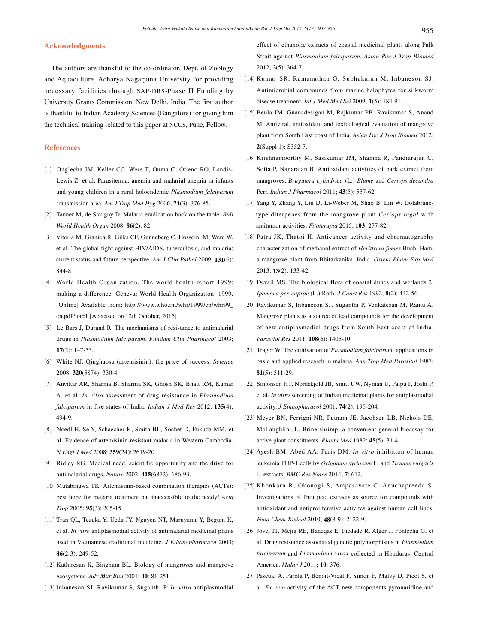#### **Acknowledgments**

 The authors are thankful to the co-ordinator, Dept. of Zoology and Aquaculture, Acharya Nagarjuna University for providing necessary facilities through SAP-DRS-Phase II Funding by University Grants Commission, New Delhi, India. The first author is thankful to Indian Academy Sciences (Bangalore) for giving him the technical training related to this paper at NCCS, Pune, Fellow.

# **References**

- [1] Ong'echa JM, Keller CC, Were T, Ouma C, Otieno RO, Landis-Lewis Z, et al. Parasitemia, anemia and malarial anemia in infants and young children in a rural holoendemic *Plasmodium falciparum* transmission area. *Am J Trop Med Hyg* 2006; **74**(3): 376-85.
- [2] Tanner M, de Savigny D. Malaria eradication back on the table. *Bull World Health Organ* 2008; **86**(2): 82.
- [3] Vitoria M, Granich R, Gilks CF, Gunneberg C, Hosseini M, Were W, et al. The global fight against HIV/AIDS, tuberculosis, and malaria: current status and future perspective. *Am J Clin Pathol* 2009; **131**(6): 844-8.
- [4] World Health Organization. The world health report 1999: making a difference. Geneva: World Health Organization; 1999. [Online] Available from: http://www.who.int/whr/1999/en/whr99\_ en.pdf?ua=1 [Accessed on 12th October, 2015]
- [5] Le Bars J, Durand R. The mechanisms of resistance to antimalarial drugs in *Plasmodium falciparum*. *Fundam Clin Pharmacol* 2003; **17**(2): 147-53.
- [6] White NJ. Qinghaosu (artemisinin): the price of success. *Science* 2008; **320**(5874): 330-4.
- [7] Anvikar AR, Sharma B, Sharma SK, Ghosh SK, Bhatt RM, Kumar A, et al. *In vitro* assessment of drug resistance in *Plasmodium falciparum* in five states of India. *Indian J Med Res* 2012; **135**(4): 494-9.
- [8] Noedl H, Se Y, Schaecher K, Smith BL, Sochet D, Fukuda MM, et al. Evidence of artemisinin-resistant malaria in Western Cambodia. *N Engl J Med* 2008; **359**(24): 2619-20.
- [9] Ridley RG. Medical need, scientific opportunity and the drive for antimalarial drugs. *Nature* 2002; **415**(6872): 686-93.
- [10] Mutabingwa TK. Artemisinin-based combination therapies (ACTs): best hope for malaria treatment but inaccessible to the needy! *Acta Trop* 2005; **95**(3): 305-15.
- [11] Tran QL, Tezuka Y, Ueda JY, Nguyen NT, Maruyama Y, Begum K, et al. *In vitro* antiplasmodial activity of antimalarial medicinal plants used in Vietnamese traditional medicine. *J Ethonopharmacol* 2003; **86**(2-3): 249-52.
- [12] Kathiresan K, Bingham BL. Biology of mangroves and mangrove ecosystems. *Adv Mar Biol* 2001; **40**: 81-251.
- [13] Inbaneson SJ, Ravikumar S, Suganthi P. *In vitro* antiplasmodial

effect of ethanolic extracts of coastal medicinal plants along Palk Strait against *Plasmodium falciparum*. *Asian Pac J Trop Biomed*  2012; **2**(5): 364-7.

- [14] Kumar SR, Ramanathan G, Subhakaran M, Inbaneson SJ. Antimicrobial compounds from marine halophytes for silkworm disease treatment. *Int J Med Med Sci* 2009; **1**(5): 184-91.
- [15] Beula JM, Gnanadesigan M, Rajkumar PB, Ravikumar S, Anand M. Antiviral, antioxidant and toxicological evaluation of mangrove plant from South East coast of India. *Asian Pac J Trop Biomed* 2012; **2**(Suppl 1): S352-7.
- [16] Krishnamoorthy M, Sasikumar JM, Shamna R, Pandiarajan C, Sofia P, Nagarajan B. Antioxidant activities of bark extract from mangroves, *Bruguiera cylindrica* (L.) *Blume* and *Ceriops decandra* Perr. *Indian J Pharmacol* 2011; **43**(5): 557-62.
- [17] Yang Y, Zhang Y, Liu D, Li-Weber M, Shao B, Lin W. Dolabranetype diterpenes from the mangrove plant *Ceriops tagal* with antitumor activities. *Fitoterapia* 2015; **103**: 277-82.
- [18] Patra JK, Thatoi H. Anticancer activity and chromatography characterization of methanol extract of *Herittrera fomes* Buch. Ham, a mangrove plant from Bhitarkanika, India. *Orient Pham Exp Med*  2013; **13**(2): 133-42.
- [19] Devall MS. The biological flora of coastal dunes and wetlands 2. *Ipomoea pes-caprae* (L.) Roth. *J Coast Res* 1992; **8**(2): 442-56.
- [20] Ravikumar S, Inbaneson SJ, Suganthi P, Venkatesan M, Ramu A. Mangrove plants as a source of lead compounds for the development of new antiplasmodial drugs from South East coast of India. *Parasitol Res* 2011; **108**(6): 1405-10.
- [21] Trager W. The cultivation of *Plasmodium falciparum*: applications in basic and applied research in malaria. *Ann Trop Med Parasitol* 1987; **81**(5): 511-29.
- [22] Simonsen HT, Nordskjold JB, Smitt UW, Nyman U, Palpu P, Joshi P, et al. *In vitro* screening of Indian medicinal plants for antiplasmodial activity. *J Ethnopharacol* 2001; **74**(2): 195-204.
- [23] Meyer BN, Ferrigni NR, Putnam JE, Jacobsen LB, Nichols DE, McLaughlin JL. Brine shrimp: a convenient general bioassay for active plant constituents. *Planta Med* 1982; **45**(5): 31-4.
- [24] Ayesh BM, Abed AA, Faris DM. *In vitro* inhibition of human leukemia THP-1 cells by *Origanum syriacum* L. and *Thymus vulgaris*  L. extracts. *BMC Res Notes* 2014; **7**: 612.
- [25] Khonkarn R, Okonogi S, Ampasavate C, Anuchapreeda S. Investigations of fruit peel extracts as source for compounds with antioxidant and antiproliferative activites against human cell lines. *Food Chem Toxicol* 2010; **48**(8-9): 2122-9.
- [26] Jovel IT, Mejia RE, Baneqas E, Piedade R, Alger J, Fontecha G, et al. Drug resistance associated genetic polymorphisms in *Plasmodium falciparum* and *Plasmodium vivax* collected in Honduras, Central America. *Malar J* 2011; **10**: 376.
- [27] Pascual A, Parola P, Benoit-Vical F, Simon F, Malvy D, Picot S, et al. *Ex vivo* activity of the ACT new components pyronaridine and